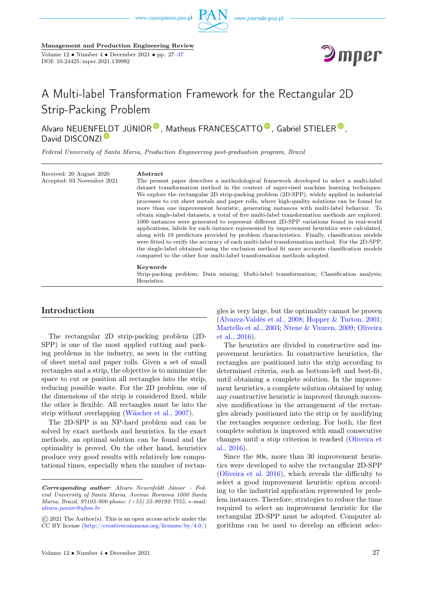





# A Multi-label Transformation Framework for the Rectangular 2D Strip-Packing Problem

Alvaro NEUENF[ELD](https://orcid.org/0000-0002-7890-8540)T JÚNIOR<sup>®</sup>[,](https://orcid.org/0000-0001-7554-9637) Matheus F[R](https://orcid.org/0000-0003-3932-0346)ANCESCATTO<sup>®</sup>, Gabriel STIELER<sup>®</sup>. David DISCONZI<sup>D</sup>

Federal University of Santa Maria, Production Engineering post-graduation program, Brazil

Received: 20 August 2020 Accepted: 03 November 2021

#### Abstract

The present paper describes a methodological framework developed to select a multi-label dataset transformation method in the context of supervised machine learning techniques. We explore the rectangular 2D strip-packing problem (2D-SPP), widely applied in industrial processes to cut sheet metals and paper rolls, where high-quality solutions can be found for more than one improvement heuristic, generating instances with multi-label behavior. To obtain single-label datasets, a total of five multi-label transformation methods are explored. 1000 instances were generated to represent different 2D-SPP variations found in real-world applications, labels for each instance represented by improvement heuristics were calculated, along with 19 predictors provided by problem characteristics. Finally, classification models were fitted to verify the accuracy of each multi-label transformation method. For the 2D-SPP, the single-label obtained using the exclusion method fit more accurate classification models compared to the other four multi-label transformation methods adopted.

#### Keywords

Strip-packing problem; Data mining; Multi-label transformation; Classification analysis; Heuristics.

# <span id="page-0-0"></span>Introduction

The rectangular 2D strip-packing problem (2D-SPP) is one of the most applied cutting and packing problems in the industry, as seen in the cutting of sheet metal and paper rolls. Given a set of small rectangles and a strip, the objective is to minimize the space to cut or position all rectangles into the strip, reducing possible waste. For the 2D problem, one of the dimensions of the strip is considered fixed, while the other is flexible. All rectangles must be into the strip without overlapping [\(Wäscher et al., 2007\)](#page-9-0).

The 2D-SPP is an NP-hard problem and can be solved by exact methods and heuristics. In the exact methods, an optimal solution can be found and the optimality is proved. On the other hand, heuristics produce very good results with relatively low computational times, especially when the number of rectangles is very large, but the optimality cannot be proven [\(Alvarez-Valdés et al., 2008;](#page-9-0) [Hopper & Turton, 2001;](#page-9-0) [Martello et al., 2003;](#page-9-0) [Ntene & Vuuren, 2009;](#page-9-0) [Oliveira](#page-9-0) [et al., 2016\)](#page-9-0).

The heuristics are divided in constructive and improvement heuristics. In constructive heuristics, the rectangles are positioned into the strip according to determined criteria, such as bottom-left and best-fit, until obtaining a complete solution. In the improvement heuristics, a complete solution obtained by using any constructive heuristic is improved through successive modifications in the arrangement of the rectangles already positioned into the strip or by modifying the rectangles sequence ordering. For both, the first complete solution is improved with small consecutive changes until a stop criterion is reached [\(Oliveira et](#page-9-0) [al., 2016\)](#page-9-0).

Since the 80s, more than 30 improvement heuristics were developed to solve the rectangular 2D-SPP [\(Oliveira et al. 2016\)](#page-9-0), which reveals the difficulty to select a good improvement heuristic option according to the industrial application represented by problem instances. Therefore, strategies to reduce the time required to select an improvement heuristic for the rectangular 2D-SPP must be adopted. Computer algorithms can be used to develop an efficient selec-

Corresponding author: Alvaro Neuenfeldt Júnior – Federal University of Santa Maria, Avenue Roraima 1000 Santa Maria, Brazil, 97105-900 phone: (+55) 55-99192-7755, e-mail: [alvaro.junior@ufsm.br](mailto:alvaro.junior@ufsm.br)

<sup>©</sup> 2021 The Author(s). This is an open access article under the CC BY license [\(http://creativecommons.org/licenses/by/4.0/\)](http://creativecommons.org/licenses/by/4.0/)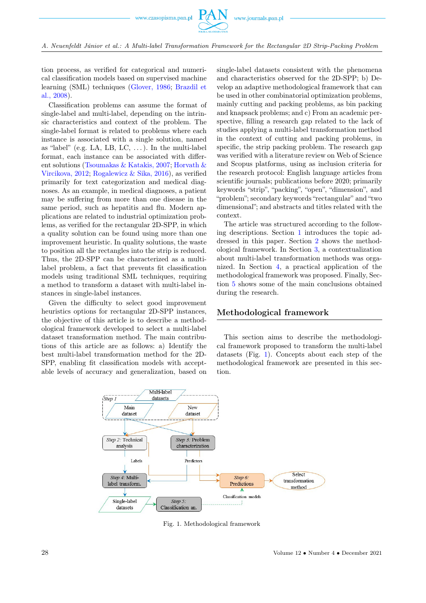

A. Neuenfeldt Júnior et al.: A Multi-label Transformation Framework for the Rectangular 2D Strip-Packing Problem

tion process, as verified for categorical and numerical classification models based on supervised machine learning (SML) techniques [\(Glover, 1986;](#page-9-0) [Brazdil et](#page-9-0) [al., 2008\)](#page-9-0).

Classification problems can assume the format of single-label and multi-label, depending on the intrinsic characteristics and context of the problem. The single-label format is related to problems where each instance is associated with a single solution, named as "label" (e.g. LA, LB, LC,  $\dots$ ). In the multi-label format, each instance can be associated with different solutions [\(Tsoumakas & Katakis, 2007;](#page-9-0) [Horvath &](#page-9-0) [Vircikova, 2012;](#page-9-0) [Rogalewicz & Sika, 2016\)](#page-9-0), as verified primarily for text categorization and medical diagnoses. As an example, in medical diagnoses, a patient may be suffering from more than one disease in the same period, such as hepatitis and flu. Modern applications are related to industrial optimization problems, as verified for the rectangular 2D-SPP, in which a quality solution can be found using more than one improvement heuristic. In quality solutions, the waste to position all the rectangles into the strip is reduced. Thus, the 2D-SPP can be characterized as a multilabel problem, a fact that prevents fit classification models using traditional SML techniques, requiring a method to transform a dataset with multi-label instances in single-label instances.

Given the difficulty to select good improvement heuristics options for rectangular 2D-SPP instances, the objective of this article is to describe a methodological framework developed to select a multi-label dataset transformation method. The main contributions of this article are as follows: a) Identify the best multi-label transformation method for the 2D-SPP, enabling fit classification models with acceptable levels of accuracy and generalization, based on

single-label datasets consistent with the phenomena and characteristics observed for the 2D-SPP; b) Develop an adaptive methodological framework that can be used in other combinatorial optimization problems, mainly cutting and packing problems, as bin packing and knapsack problems; and c) From an academic perspective, filling a research gap related to the lack of studies applying a multi-label transformation method in the context of cutting and packing problems, in specific, the strip packing problem. The research gap was verified with a literature review on Web of Science and Scopus platforms, using as inclusion criteria for the research protocol: English language articles from scientific journals; publications before 2020; primarily keywords "strip", "packing", "open", "dimension", and "problem"; secondary keywords "rectangular" and "two dimensional"; and abstracts and titles related with the context.

The article was structured according to the following descriptions. Section [1](#page-0-0) introduces the topic addressed in this paper. Section [2](#page-1-0) shows the methodological framework. In Section [3,](#page-3-0) a contextualization about multi-label transformation methods was organized. In Section [4,](#page-5-0) a practical application of the methodological framework was proposed. Finally, Section [5](#page-9-1) shows some of the main conclusions obtained during the research.

## <span id="page-1-0"></span>Methodological framework

This section aims to describe the methodological framework proposed to transform the multi-label datasets (Fig. [1\)](#page-1-1). Concepts about each step of the methodological framework are presented in this section.

<span id="page-1-1"></span>

Fig. 1. Methodological framework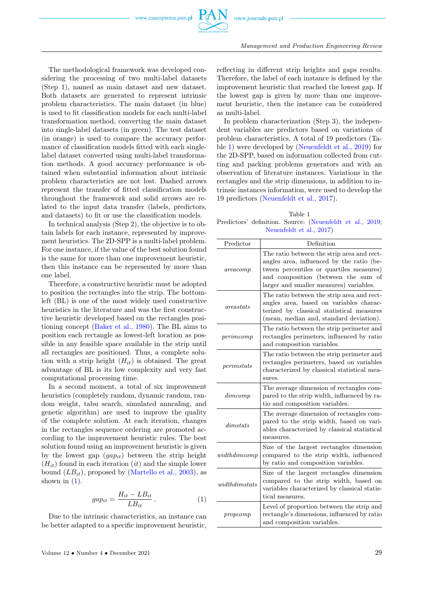

The methodological framework was developed considering the processing of two multi-label datasets (Step 1), named as main dataset and new dataset. Both datasets are generated to represent intrinsic problem characteristics. The main dataset (in blue) is used to fit classification models for each multi-label transformation method, converting the main dataset into single-label datasets (in green). The test dataset (in orange) is used to compare the accuracy performance of classification models fitted with each singlelabel dataset converted using multi-label transformation methods. A good accuracy performance is obtained when substantial information about intrinsic problem characteristics are not lost. Dashed arrows represent the transfer of fitted classification models throughout the framework and solid arrows are related to the input data transfer (labels, predictors, and datasets) to fit or use the classification models.

In technical analysis (Step 2), the objective is to obtain labels for each instance, represented by improvement heuristics. The 2D-SPP is a multi-label problem. For one instance, if the value of the best solution found is the same for more than one improvement heuristic, then this instance can be represented by more than one label.

Therefore, a constructive heuristic must be adopted to position the rectangles into the strip. The bottomleft (BL) is one of the most widely used constructive heuristics in the literature and was the first constructive heuristic developed based on the rectangles positioning concept [\(Baker et al., 1980\)](#page-9-0). The BL aims to position each rectangle as lowest-left location as possible in any feasible space available in the strip until all rectangles are positioned. Thus, a complete solution with a strip height  $(H_{it})$  is obtained. The great advantage of BL is its low complexity and very fast computational processing time.

In a second moment, a total of six improvement heuristics (completely random, dynamic random, random weight, tabu search, simulated annealing, and genetic algorithm) are used to improve the quality of the complete solution. At each iteration, changes in the rectangles sequence ordering are promoted according to the improvement heuristic rules. The best solution found using an improvement heuristic is given by the lowest gap  $(gap_{it})$  between the strip height  $(H_{it})$  found in each iteration *(it)* and the simple lower bound  $(LB_{it})$ , proposed by [\(Martello et al., 2003\)](#page-9-0), as shown in  $(1)$ .

<span id="page-2-0"></span>
$$
gap_{it} = \frac{H_{it} - LB_{it}}{LB_{it}}.
$$
\n(1)

Due to the intrinsic characteristics, an instance can be better adapted to a specific improvement heuristic, reflecting in different strip heights and gaps results. Therefore, the label of each instance is defined by the improvement heuristic that reached the lowest gap. If the lowest gap is given by more than one improvement heuristic, then the instance can be considered as multi-label.

In problem characterization (Step 3), the independent variables are predictors based on variations of problem characteristics. A total of 19 predictors (Table [1\)](#page-2-1) were developed by [\(Neuenfeldt et al., 2019\)](#page-9-0) for the 2D-SPP, based on information collected from cutting and packing problems generators and with an observation of literature instances. Variations in the rectangles and the strip dimensions, in addition to intrinsic instances information, were used to develop the 19 predictors [\(Neuenfeldt et al., 2017\)](#page-9-0).

<span id="page-2-1"></span>Table 1 Predictors' definition. Source: [\(Neuenfeldt et al., 2019;](#page-9-0) [Neuenfeldt et al., 2017\)](#page-9-0)

| Predictor      | Definition                                                                                                                                                                                                            |
|----------------|-----------------------------------------------------------------------------------------------------------------------------------------------------------------------------------------------------------------------|
| are a comp     | The ratio between the strip area and rect-<br>angles area, influenced by the ratio (be-<br>tween percentiles or quartiles measures)<br>and composition (between the sum of<br>larger and smaller measures) variables. |
| are a states   | The ratio between the strip area and rect-<br>angles area, based on variables charac-<br>terized by classical statistical measures<br>(mean, median and, standard deviation).                                         |
| perimcomp      | The ratio between the strip perimeter and<br>rectangles perimeters, influenced by ratio<br>and composition variables.                                                                                                 |
| perimstats     | The ratio between the strip perimeter and<br>rectangles perimeters, based on variables<br>characterized by classical statistical mea-<br>sures.                                                                       |
| dimcomp        | The average dimension of rectangles com-<br>pared to the strip width, influenced by ra-<br>tio and composition variables.                                                                                             |
| dimstats       | The average dimension of rectangles com-<br>pared to the strip width, based on vari-<br>ables characterized by classical statistical<br>measures.                                                                     |
| widthdimcomp   | Size of the largest rectangles dimension<br>compared to the strip width, influenced<br>by ratio and composition variables.                                                                                            |
| width dimstats | Size of the largest rectangles dimension<br>compared to the strip width, based on<br>variables characterized by classical statis-<br>tical measures.                                                                  |
| propcomp       | Level of proportion between the strip and<br>rectangle's dimensions, influenced by ratio<br>and composition variables.                                                                                                |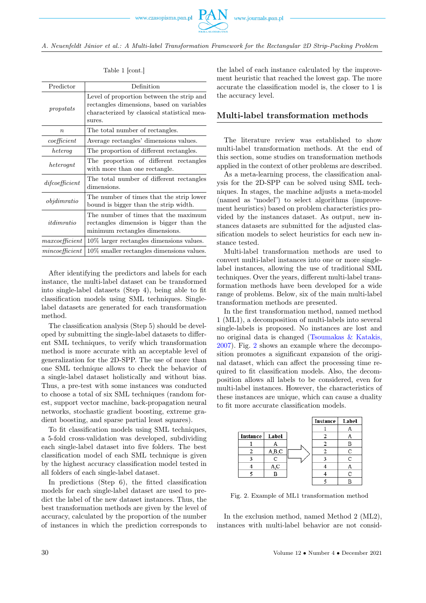

A. Neuenfeldt Júnior et al.: A Multi-label Transformation Framework for the Rectangular 2D Strip-Packing Problem

| Predictor         | Definition                                                                                                                                      |  |  |  |
|-------------------|-------------------------------------------------------------------------------------------------------------------------------------------------|--|--|--|
| propstats         | Level of proportion between the strip and<br>rectangles dimensions, based on variables<br>characterized by classical statistical mea-<br>sures. |  |  |  |
| $\boldsymbol{n}$  | The total number of rectangles.                                                                                                                 |  |  |  |
| coefficient       | Average rectangles' dimensions values.                                                                                                          |  |  |  |
| heteroq           | The proportion of different rectangles.                                                                                                         |  |  |  |
| heteroqnt         | The proportion of different rectangles<br>with more than one rectangle.                                                                         |  |  |  |
| dif coefficient   | The total number of different rectangles<br>dimensions.                                                                                         |  |  |  |
| $\it objdimratio$ | The number of times that the strip lower<br>bound is bigger than the strip width.                                                               |  |  |  |
| it dimratio       | The number of times that the maximum<br>rectangles dimension is bigger than the<br>minimum rectangles dimensions.                               |  |  |  |
| maxcoefficient    | 10\% larger rectangles dimensions values.                                                                                                       |  |  |  |
| mincoefficient    | $10\%$ smaller rectangles dimensions values.                                                                                                    |  |  |  |

### Table 1 [cont.]

After identifying the predictors and labels for each instance, the multi-label dataset can be transformed into single-label datasets (Step 4), being able to fit classification models using SML techniques. Singlelabel datasets are generated for each transformation method.

The classification analysis (Step 5) should be developed by submitting the single-label datasets to different SML techniques, to verify which transformation method is more accurate with an acceptable level of generalization for the 2D-SPP. The use of more than one SML technique allows to check the behavior of a single-label dataset holistically and without bias. Thus, a pre-test with some instances was conducted to choose a total of six SML techniques (random forest, support vector machine, back-propagation neural networks, stochastic gradient boosting, extreme gradient boosting, and sparse partial least squares).

To fit classification models using SML techniques, a 5-fold cross-validation was developed, subdividing each single-label dataset into five folders. The best classification model of each SML technique is given by the highest accuracy classification model tested in all folders of each single-label dataset.

In predictions (Step 6), the fitted classification models for each single-label dataset are used to predict the label of the new dataset instances. Thus, the best transformation methods are given by the level of accuracy, calculated by the proportion of the number of instances in which the prediction corresponds to

the label of each instance calculated by the improvement heuristic that reached the lowest gap. The more accurate the classification model is, the closer to 1 is the accuracy level.

# <span id="page-3-0"></span>Multi-label transformation methods

The literature review was established to show multi-label transformation methods. At the end of this section, some studies on transformation methods applied in the context of other problems are described.

As a meta-learning process, the classification analysis for the 2D-SPP can be solved using SML techniques. In stages, the machine adjusts a meta-model (named as "model") to select algorithms (improvement heuristics) based on problem characteristics provided by the instances dataset. As output, new instances datasets are submitted for the adjusted classification models to select heuristics for each new instance tested.

Multi-label transformation methods are used to convert multi-label instances into one or more singlelabel instances, allowing the use of traditional SML techniques. Over the years, different multi-label transformation methods have been developed for a wide range of problems. Below, six of the main multi-label transformation methods are presented.

In the first transformation method, named method 1 (ML1), a decomposition of multi-labels into several single-labels is proposed. No instances are lost and no original data is changed [\(Tsoumakas & Katakis,](#page-9-0) [2007\)](#page-9-0). Fig. [2](#page-3-1) shows an example where the decomposition promotes a significant expansion of the original dataset, which can affect the processing time required to fit classification models. Also, the decomposition allows all labels to be considered, even for multi-label instances. However, the characteristics of these instances are unique, which can cause a duality to fit more accurate classification models.

<span id="page-3-1"></span>

Fig. 2. Example of ML1 transformation method

In the exclusion method, named Method 2 (ML2), instances with multi-label behavior are not consid-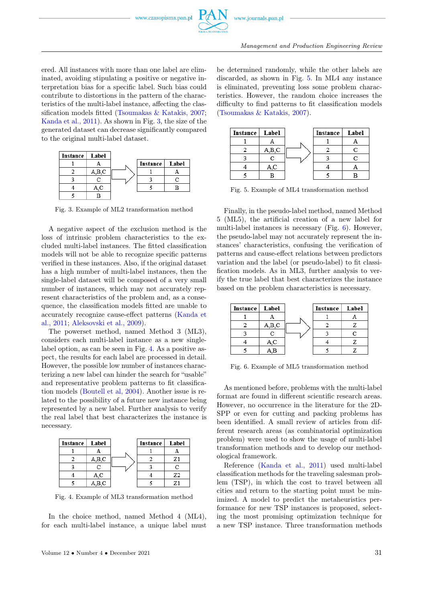

ered. All instances with more than one label are eliminated, avoiding stipulating a positive or negative interpretation bias for a specific label. Such bias could contribute to distortions in the pattern of the characteristics of the multi-label instance, affecting the classification models fitted [\(Tsoumakas & Katakis, 2007;](#page-9-0) [Kanda et al., 2011\)](#page-9-0). As shown in Fig. [3,](#page-4-0) the size of the generated dataset can decrease significantly compared to the original multi-label dataset.

<span id="page-4-0"></span>

Fig. 3. Example of ML2 transformation method

A negative aspect of the exclusion method is the loss of intrinsic problem characteristics to the excluded multi-label instances. The fitted classification models will not be able to recognize specific patterns verified in these instances. Also, if the original dataset has a high number of multi-label instances, then the single-label dataset will be composed of a very small number of instances, which may not accurately represent characteristics of the problem and, as a consequence, the classification models fitted are unable to accurately recognize cause-effect patterns [\(Kanda et](#page-9-0) [al., 2011;](#page-9-0) [Aleksovski et al., 2009\)](#page-9-0).

The powerset method, named Method 3 (ML3), considers each multi-label instance as a new singlelabel option, as can be seen in Fig. [4.](#page-4-1) As a positive aspect, the results for each label are processed in detail. However, the possible low number of instances characterizing a new label can hinder the search for "usable" and representative problem patterns to fit classification models [\(Boutell et al, 2004\)](#page-9-0). Another issue is related to the possibility of a future new instance being represented by a new label. Further analysis to verify the real label that best characterizes the instance is necessary.

<span id="page-4-1"></span>

| Instance   Label |       | Instance | Label |
|------------------|-------|----------|-------|
|                  |       |          |       |
|                  | A,B,C |          | Z1    |
|                  | r     |          |       |
|                  | A.C   |          | Z2    |
|                  | A,B,C |          | 71    |

Fig. 4. Example of ML3 transformation method

In the choice method, named Method 4 (ML4), for each multi-label instance, a unique label must

be determined randomly, while the other labels are discarded, as shown in Fig. [5.](#page-4-2) In ML4 any instance is eliminated, preventing loss some problem characteristics. However, the random choice increases the difficulty to find patterns to fit classification models [\(Tsoumakas & Katakis, 2007\)](#page-9-0).

<span id="page-4-2"></span>

Fig. 5. Example of ML4 transformation method

Finally, in the pseudo-label method, named Method 5 (ML5), the artificial creation of a new label for multi-label instances is necessary (Fig. [6\)](#page-4-3). However, the pseudo-label may not accurately represent the instances' characteristics, confusing the verification of patterns and cause-effect relations between predictors variation and the label (or pseudo-label) to fit classification models. As in ML3, further analysis to verify the true label that best characterizes the instance based on the problem characteristics is necessary.

<span id="page-4-3"></span>

Fig. 6. Example of ML5 transformation method

As mentioned before, problems with the multi-label format are found in different scientific research areas. However, no occurrence in the literature for the 2D-SPP or even for cutting and packing problems has been identified. A small review of articles from different research areas (as combinatorial optimization problem) were used to show the usage of multi-label transformation methods and to develop our methodological framework.

Reference [\(Kanda et al., 2011\)](#page-9-0) used multi-label classification methods for the traveling salesman problem (TSP), in which the cost to travel between all cities and return to the starting point must be minimized. A model to predict the metaheuristics performance for new TSP instances is proposed, selecting the most promising optimization technique for a new TSP instance. Three transformation methods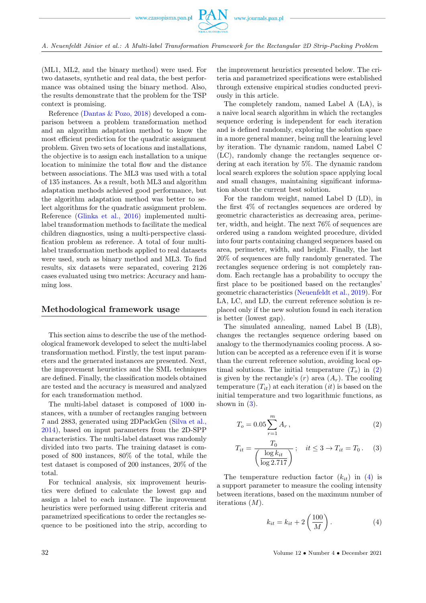

(ML1, ML2, and the binary method) were used. For two datasets, synthetic and real data, the best performance was obtained using the binary method. Also, the results demonstrate that the problem for the TSP context is promising.

Reference [\(Dantas & Pozo, 2018\)](#page-9-0) developed a comparison between a problem transformation method and an algorithm adaptation method to know the most efficient prediction for the quadratic assignment problem. Given two sets of locations and installations, the objective is to assign each installation to a unique location to minimize the total flow and the distance between associations. The ML3 was used with a total of 135 instances. As a result, both ML3 and algorithm adaptation methods achieved good performance, but the algorithm adaptation method was better to select algorithms for the quadratic assignment problem. Reference [\(Glinka et al., 2016\)](#page-9-0) implemented multilabel transformation methods to facilitate the medical children diagnostics, using a multi-perspective classification problem as reference. A total of four multilabel transformation methods applied to real datasets were used, such as binary method and ML3. To find results, six datasets were separated, covering 2126 cases evaluated using two metrics: Accuracy and hamming loss.

# <span id="page-5-0"></span>Methodological framework usage

This section aims to describe the use of the methodological framework developed to select the multi-label transformation method. Firstly, the test input parameters and the generated instances are presented. Next, the improvement heuristics and the SML techniques are defined. Finally, the classification models obtained are tested and the accuracy is measured and analyzed for each transformation method.

The multi-label dataset is composed of 1000 instances, with a number of rectangles ranging between 7 and 2883, generated using 2DPackGen [\(Silva et al.,](#page-9-0) [2014\)](#page-9-0), based on input parameters from the 2D-SPP characteristics. The multi-label dataset was randomly divided into two parts. The training dataset is composed of 800 instances, 80% of the total, while the test dataset is composed of 200 instances, 20% of the total.

For technical analysis, six improvement heuristics were defined to calculate the lowest gap and assign a label to each instance. The improvement heuristics were performed using different criteria and parametrized specifications to order the rectangles sequence to be positioned into the strip, according to

the improvement heuristics presented below. The criteria and parametrized specifications were established through extensive empirical studies conducted previously in this article.

The completely random, named Label A (LA), is a naive local search algorithm in which the rectangles sequence ordering is independent for each iteration and is defined randomly, exploring the solution space in a more general manner, being null the learning level by iteration. The dynamic random, named Label C (LC), randomly change the rectangles sequence ordering at each iteration by 5%. The dynamic random local search explores the solution space applying local and small changes, maintaining significant information about the current best solution.

For the random weight, named Label D (LD), in the first 4% of rectangles sequences are ordered by geometric characteristics as decreasing area, perimeter, width, and height. The next 76% of sequences are ordered using a random weighted procedure, divided into four parts containing changed sequences based on area, perimeter, width, and height. Finally, the last 20% of sequences are fully randomly generated. The rectangles sequence ordering is not completely random. Each rectangle has a probability to occupy the first place to be positioned based on the rectangles' geometric characteristics [\(Neuenfeldt et al., 2019\)](#page-9-0). For LA, LC, and LD, the current reference solution is replaced only if the new solution found in each iteration is better (lowest gap).

The simulated annealing, named Label B (LB), changes the rectangles sequence ordering based on analogy to the thermodynamics cooling process. A solution can be accepted as a reference even if it is worse than the current reference solution, avoiding local optimal solutions. The initial temperature  $(T<sub>o</sub>)$  in  $(2)$ is given by the rectangle's  $(r)$  area  $(A_r)$ . The cooling temperature  $(T_{it})$  at each iteration  $(it)$  is based on the initial temperature and two logarithmic functions, as shown in  $(3)$ .

<span id="page-5-1"></span>
$$
T_o = 0.05 \sum_{r=1}^{m} A_r , \t\t(2)
$$

$$
T_{it} = \frac{T_0}{\left(\frac{\log k_{it}}{\log 2.717}\right)}; \quad it \le 3 \to T_{it} = T_0. \tag{3}
$$

The temperature reduction factor  $(k_{it})$  in  $(4)$  is a support parameter to measure the cooling intensity between iterations, based on the maximum number of iterations  $(M)$ .

<span id="page-5-3"></span><span id="page-5-2"></span>
$$
k_{it} = k_{it} + 2\left(\frac{100}{M}\right). \tag{4}
$$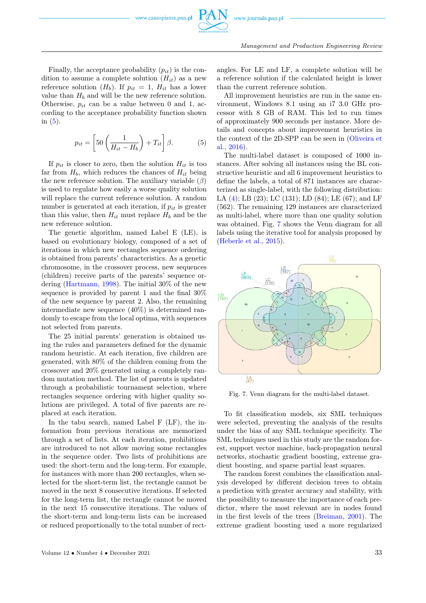Finally, the acceptance probability  $(p_{it})$  is the condition to assume a complete solution  $(H_{it})$  as a new reference solution  $(H_b)$ . If  $p_{it} = 1$ ,  $H_{it}$  has a lower value than  $H_b$  and will be the new reference solution. Otherwise,  $p_{it}$  can be a value between 0 and 1, according to the acceptance probability function shown in [\(5\)](#page-6-0).

<span id="page-6-0"></span>
$$
p_{it} = \left[50\left(\frac{1}{H_{it} - H_b}\right) + T_{it}\right]\beta.
$$
 (5)

If  $p_{it}$  is closer to zero, then the solution  $H_{it}$  is too far from  $H_b$ , which reduces the chances of  $H_{it}$  being the new reference solution. The auxiliary variable  $(\beta)$ is used to regulate how easily a worse quality solution will replace the current reference solution. A random number is generated at each iteration, if  $p_{it}$  is greater than this value, then  $H_{it}$  must replace  $H_b$  and be the new reference solution.

The genetic algorithm, named Label E (LE), is based on evolutionary biology, composed of a set of iterations in which new rectangles sequence ordering is obtained from parents' characteristics. As a genetic chromosome, in the crossover process, new sequences (children) receive parts of the parents' sequence ordering [\(Hartmann, 1998\)](#page-9-0). The initial 30% of the new sequence is provided by parent 1 and the final 30% of the new sequence by parent 2. Also, the remaining intermediate new sequence (40%) is determined randomly to escape from the local optima, with sequences not selected from parents.

The 25 initial parents' generation is obtained using the rules and parameters defined for the dynamic random heuristic. At each iteration, five children are generated, with 80% of the children coming from the crossover and 20% generated using a completely random mutation method. The list of parents is updated through a probabilistic tournament selection, where rectangles sequence ordering with higher quality solutions are privileged. A total of five parents are replaced at each iteration.

In the tabu search, named Label F (LF), the information from previous iterations are memorized through a set of lists. At each iteration, prohibitions are introduced to not allow moving some rectangles in the sequence order. Two lists of prohibitions are used: the short-term and the long-term. For example, for instances with more than 200 rectangles, when selected for the short-term list, the rectangle cannot be moved in the next 8 consecutive iterations. If selected for the long-term list, the rectangle cannot be moved in the next 15 consecutive iterations. The values of the short-term and long-term lists can be increased or reduced proportionally to the total number of rect-

angles. For LE and LF, a complete solution will be a reference solution if the calculated height is lower than the current reference solution.

All improvement heuristics are run in the same environment, Windows 8.1 using an i7 3.0 GHz processor with 8 GB of RAM. This led to run times of approximately 900 seconds per instance. More details and concepts about improvement heuristics in the context of the 2D-SPP can be seen in [\(Oliveira et](#page-9-0) [al., 2016\)](#page-9-0).

The multi-label dataset is composed of 1000 instances. After solving all instances using the BL constructive heuristic and all 6 improvement heuristics to define the labels, a total of 871 instances are characterized as single-label, with the following distribution: LA [\(4\)](#page-5-3); LB (23); LC (131); LD (84); LE (67); and LF (562). The remaining 129 instances are characterized as multi-label, where more than one quality solution was obtained. Fig. [7](#page-6-1) shows the Venn diagram for all labels using the iterative tool for analysis proposed by [\(Heberle et al., 2015\)](#page-9-0).

<span id="page-6-1"></span>

Fig. 7. Venn diagram for the multi-label dataset.

To fit classification models, six SML techniques were selected, preventing the analysis of the results under the bias of any SML technique specificity. The SML techniques used in this study are the random forest, support vector machine, back-propagation neural networks, stochastic gradient boosting, extreme gradient boosting, and sparse partial least squares.

The random forest combines the classification analysis developed by different decision trees to obtain a prediction with greater accuracy and stability, with the possibility to measure the importance of each predictor, where the most relevant are in nodes found in the first levels of the trees [\(Breiman, 2001\)](#page-9-0). The extreme gradient boosting used a more regularized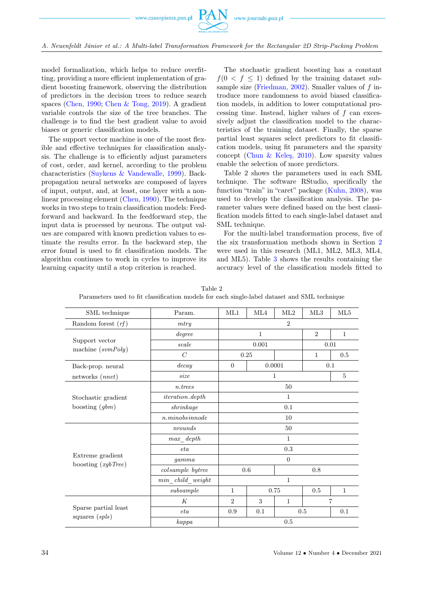

A. Neuenfeldt Júnior et al.: A Multi-label Transformation Framework for the Rectangular 2D Strip-Packing Problem

model formalization, which helps to reduce overfitting, providing a more efficient implementation of gradient boosting framework, observing the distribution of predictors in the decision trees to reduce search spaces [\(Chen, 1990;](#page-9-0) [Chen & Tong, 2019\)](#page-9-0). A gradient variable controls the size of the tree branches. The challenge is to find the best gradient value to avoid biases or generic classification models.

The support vector machine is one of the most flexible and effective techniques for classification analysis. The challenge is to efficiently adjust parameters of cost, order, and kernel, according to the problem characteristics [\(Suykens & Vandewalle, 1999\)](#page-9-0). Backpropagation neural networks are composed of layers of input, output, and, at least, one layer with a nonlinear processing element [\(Chen, 1990\)](#page-9-0). The technique works in two steps to train classification models: Feedforward and backward. In the feedforward step, the input data is processed by neurons. The output values are compared with known prediction values to estimate the results error. In the backward step, the error found is used to fit classification models. The algorithm continues to work in cycles to improve its learning capacity until a stop criterion is reached.

The stochastic gradient boosting has a constant  $f(0 < f < 1)$  defined by the training dataset sub-sample size [\(Friedman, 2002\)](#page-9-0). Smaller values of  $f$  introduce more randomness to avoid biased classification models, in addition to lower computational processing time. Instead, higher values of  $f$  can excessively adjust the classification model to the characteristics of the training dataset. Finally, the sparse partial least squares select predictors to fit classification models, using fit parameters and the sparsity concept [\(Chun & Keleş, 2010\)](#page-9-0). Low sparsity values enable the selection of more predictors.

Table 2 shows the parameters used in each SML technique. The software RStudio, specifically the function "train" in "caret" package [\(Kuhn, 2008\)](#page-9-0), was used to develop the classification analysis. The parameter values were defined based on the best classification models fitted to each single-label dataset and SML technique.

For the multi-label transformation process, five of the six transformation methods shown in Section [2](#page-1-0) were used in this research (ML1, ML2, ML3, ML4, and ML5). Table [3](#page-8-0) shows the results containing the accuracy level of the classification models fitted to

| SML technique                            | Param.                 |                          | ML4 | ML2          | ML3            | ML5          |  |
|------------------------------------------|------------------------|--------------------------|-----|--------------|----------------|--------------|--|
| Random forest $(rf)$                     | $\overline{2}$<br>mtry |                          |     |              |                |              |  |
|                                          | degree                 | $\mathbf{1}$             |     |              | 2              | $\mathbf{1}$ |  |
| Support vector                           | scale                  | 0.001                    |     |              | 0.01           |              |  |
| machine $(svmPoly)$                      | $\overline{C}$         | 0.25                     |     |              | $\mathbf{1}$   | 0.5          |  |
| Back-prop. neural                        | decay                  | 0.0001<br>$\overline{0}$ |     |              | 0.1            |              |  |
| networks (nnet)                          | size                   | 1                        |     |              | $\overline{5}$ |              |  |
| Stochastic gradient<br>boosting $(gbm)$  | $n.$ trees             | 50                       |     |              |                |              |  |
|                                          | $iteration. depth$     | $\mathbf{1}$             |     |              |                |              |  |
|                                          | shrinkage              | 0.1                      |     |              |                |              |  |
|                                          | n. minobsin node       | 10                       |     |              |                |              |  |
|                                          | 50<br>nrounds          |                          |     |              |                |              |  |
|                                          | $max\_depth$           | $\mathbf{1}$             |     |              |                |              |  |
|                                          | eta                    | 0.3                      |     |              |                |              |  |
| Extreme gradient<br>boosting $(xgbTree)$ | qamma                  | $\overline{0}$           |     |              |                |              |  |
|                                          | colsample bytree       | 0.6                      |     | 0.8          |                |              |  |
|                                          | $min\_child\_weight$   | $\mathbf{1}$             |     |              |                |              |  |
|                                          | subsample              | $\mathbf{1}$             |     | 0.75         | 0.5            | $\mathbf{1}$ |  |
|                                          | K                      | $\overline{2}$           | 3   | $\mathbf{1}$ | $\overline{7}$ |              |  |
| Sparse partial least<br>squares $(spls)$ | eta                    | 0.9                      | 0.1 |              | 0.5            | 0.1          |  |
|                                          | kappa                  | 0.5                      |     |              |                |              |  |

Table 2 Parameters used to fit classification models for each single-label dataset and SML technique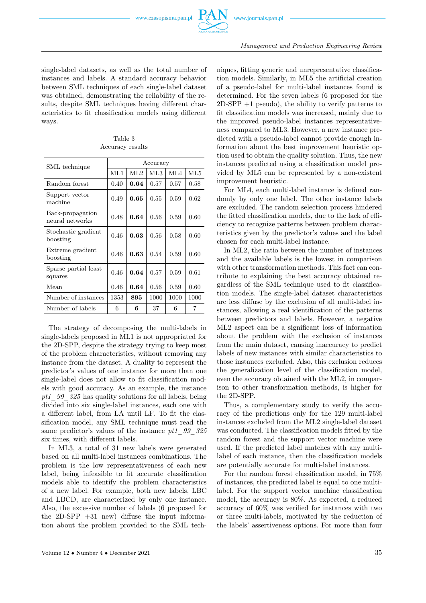

single-label datasets, as well as the total number of instances and labels. A standard accuracy behavior between SML techniques of each single-label dataset was obtained, demonstrating the reliability of the results, despite SML techniques having different characteristics to fit classification models using different ways.

<span id="page-8-0"></span>

| SML technique                       | Accuracy |      |      |      |      |  |  |
|-------------------------------------|----------|------|------|------|------|--|--|
|                                     | ML1      | ML2  | ML3  | ML4  | ML5  |  |  |
| Random forest                       | 0.40     | 0.64 | 0.57 | 0.57 | 0.58 |  |  |
| Support vector<br>machine           | 0.49     | 0.65 | 0.55 | 0.59 | 0.62 |  |  |
| Back-propagation<br>neural networks | 0.48     | 0.64 | 0.56 | 0.59 | 0.60 |  |  |
| Stochastic gradient<br>boosting     | 0.46     | 0.63 | 0.56 | 0.58 | 0.60 |  |  |
| Extreme gradient<br>boosting        | 0.46     | 0.63 | 0.54 | 0.59 | 0.60 |  |  |
| Sparse partial least<br>squares     | 0.46     | 0.64 | 0.57 | 0.59 | 0.61 |  |  |
| Mean                                | 0.46     | 0.64 | 0.56 | 0.59 | 0.60 |  |  |
| Number of instances                 | 1353     | 895  | 1000 | 1000 | 1000 |  |  |
| Number of labels                    | 6        | 6    | 37   | 6    | 7    |  |  |

Table 3 Accuracy results

The strategy of decomposing the multi-labels in single-labels proposed in ML1 is not appropriated for the 2D-SPP, despite the strategy trying to keep most of the problem characteristics, without removing any instance from the dataset. A duality to represent the predictor's values of one instance for more than one single-label does not allow to fit classification models with good accuracy. As an example, the instance pt1\_99\_325 has quality solutions for all labels, being divided into six single-label instances, each one with a different label, from LA until LF. To fit the classification model, any SML technique must read the same predictor's values of the instance pt1 99 325 six times, with different labels.

In ML3, a total of 31 new labels were generated based on all multi-label instances combinations. The problem is the low representativeness of each new label, being infeasible to fit accurate classification models able to identify the problem characteristics of a new label. For example, both new labels, LBC and LBCD, are characterized by only one instance. Also, the excessive number of labels (6 proposed for the  $2D-SPP +31$  new) diffuse the input information about the problem provided to the SML techniques, fitting generic and unrepresentative classification models. Similarly, in ML5 the artificial creation of a pseudo-label for multi-label instances found is determined. For the seven labels (6 proposed for the  $2D-SPP +1$  pseudo), the ability to verify patterns to fit classification models was increased, mainly due to the improved pseudo-label instances representativeness compared to ML3. However, a new instance predicted with a pseudo-label cannot provide enough information about the best improvement heuristic option used to obtain the quality solution. Thus, the new instances predicted using a classification model provided by ML5 can be represented by a non-existent improvement heuristic.

For ML4, each multi-label instance is defined randomly by only one label. The other instance labels are excluded. The random selection process hindered the fitted classification models, due to the lack of efficiency to recognize patterns between problem characteristics given by the predictor's values and the label chosen for each multi-label instance.

In ML2, the ratio between the number of instances and the available labels is the lowest in comparison with other transformation methods. This fact can contribute to explaining the best accuracy obtained regardless of the SML technique used to fit classification models. The single-label dataset characteristics are less diffuse by the exclusion of all multi-label instances, allowing a real identification of the patterns between predictors and labels. However, a negative ML2 aspect can be a significant loss of information about the problem with the exclusion of instances from the main dataset, causing inaccuracy to predict labels of new instances with similar characteristics to those instances excluded. Also, this exclusion reduces the generalization level of the classification model, even the accuracy obtained with the ML2, in comparison to other transformation methods, is higher for the 2D-SPP.

Thus, a complementary study to verify the accuracy of the predictions only for the 129 multi-label instances excluded from the ML2 single-label dataset was conducted. The classification models fitted by the random forest and the support vector machine were used. If the predicted label matches with any multilabel of each instance, then the classification models are potentially accurate for multi-label instances.

For the random forest classification model, in 75% of instances, the predicted label is equal to one multilabel. For the support vector machine classification model, the accuracy is 80%. As expected, a reduced accuracy of 60% was verified for instances with two or three multi-labels, motivated by the reduction of the labels' assertiveness options. For more than four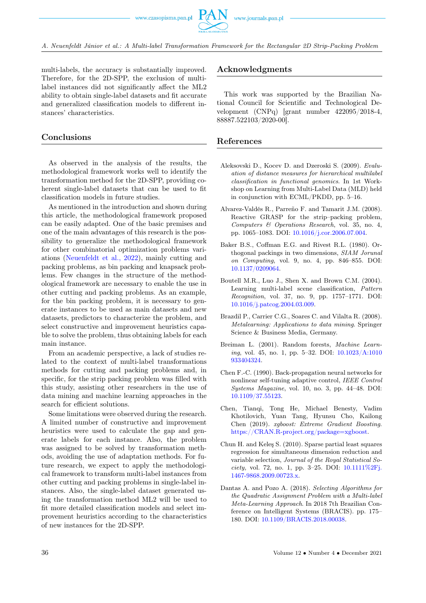multi-labels, the accuracy is substantially improved. Therefore, for the 2D-SPP, the exclusion of multilabel instances did not significantly affect the ML2 ability to obtain single-label datasets and fit accurate and generalized classification models to different instances' characteristics.

# <span id="page-9-1"></span>Conclusions

As observed in the analysis of the results, the methodological framework works well to identify the transformation method for the 2D-SPP, providing coherent single-label datasets that can be used to fit classification models in future studies.

As mentioned in the introduction and shown during this article, the methodological framework proposed can be easily adapted. One of the basic premises and one of the main advantages of this research is the possibility to generalize the methodological framework for other combinatorial optimization problems variations [\(Neuenfeldt et al., 2022\)](#page-9-0), mainly cutting and packing problems, as bin packing and knapsack problems. Few changes in the structure of the methodological framework are necessary to enable the use in other cutting and packing problems. As an example, for the bin packing problem, it is necessary to generate instances to be used as main datasets and new datasets, predictors to characterize the problem, and select constructive and improvement heuristics capable to solve the problem, thus obtaining labels for each main instance.

From an academic perspective, a lack of studies related to the context of multi-label transformations methods for cutting and packing problems and, in specific, for the strip packing problem was filled with this study, assisting other researchers in the use of data mining and machine learning approaches in the search for efficient solutions.

Some limitations were observed during the research. A limited number of constructive and improvement heuristics were used to calculate the gap and generate labels for each instance. Also, the problem was assigned to be solved by transformation methods, avoiding the use of adaptation methods. For future research, we expect to apply the methodological framework to transform multi-label instances from other cutting and packing problems in single-label instances. Also, the single-label dataset generated using the transformation method ML2 will be used to fit more detailed classification models and select improvement heuristics according to the characteristics of new instances for the 2D-SPP.

# Acknowledgments

This work was supported by the Brazilian National Council for Scientific and Technological Development (CNPq) [grant number 422095/2018-4, 88887.522103/2020-00].

#### <span id="page-9-0"></span>References

- Aleksovski D., Kocev D. and Dzeroski S. (2009). Evaluation of distance measures for hierarchical multilabel classification in functional genomics. In 1st Workshop on Learning from Multi-Label Data (MLD) held in conjunction with ECML/PKDD, pp. 5–16.
- Alvarez-Valdés R., Parreño F. and Tamarit J.M. (2008). Reactive GRASP for the strip–packing problem, Computers & Operations Research, vol. 35, no. 4, pp. 1065–1083. DOI: [10.1016/j.cor.2006.07.004.](https://doi.org/10.1016/j.cor.2006.07.004)
- Baker B.S., Coffman E.G. and Rivest R.L. (1980). Orthogonal packings in two dimensions, SIAM Jorunal on Computing, vol. 9, no. 4, pp. 846–855. DOI: [10.1137/0209064.](https://doi.org/10.1137/0209064)
- Boutell M.R., Luo J., Shen X. and Brown C.M. (2004). Learning multi-label scene classification, Pattern Recognition, vol. 37, no. 9, pp. 1757–1771. DOI: [10.1016/j.patcog.2004.03.009.](https://doi.org/10.1016/j.patcog.2004.03.009)
- Brazdil P., Carrier C.G., Soares C. and Vilalta R. (2008). Metalearning: Applications to data mining. Springer Science & Business Media, Germany.
- Breiman L. (2001). Random forests, Machine Learning, vol. 45, no. 1, pp. 5–32. DOI: [10.1023/A:1010](https://doi.org/10.1023/A:1010933404324) [933404324.](https://doi.org/10.1023/A:1010933404324)
- Chen F.-C. (1990). Back-propagation neural networks for nonlinear self-tuning adaptive control, IEEE Control Systems Magazine, vol. 10, no. 3, pp. 44–48. DOI: [10.1109/37.55123.](https://doi.org/10.1109/37.55123)
- Chen, Tianqi, Tong He, Michael Benesty, Vadim Khotilovich, Yuan Tang, Hyunsu Cho, Kailong Chen (2019). xgboost: Extreme Gradient Boosting. [https://CRAN.R-project.org/package](https://CRAN.R-project.org/package$=$xgboost)=xgboost.
- Chun H. and Keleş S. (2010). Sparse partial least squares regression for simultaneous dimension reduction and variable selection, Journal of the Royal Statistical Society, vol. 72, no. 1, pp. 3-25. DOI:  $10.1111\%2F$ j. [1467-9868.2009.00723.x.](https://doi.org/10.1111{%}2Fj.1467-9868.2009.00723.x)
- Dantas A. and Pozo A. (2018). Selecting Algorithms for the Quadratic Assignment Problem with a Multi-label Meta-Learning Approach. In 2018 7th Brazilian Conference on Intelligent Systems (BRACIS). pp. 175– 180. DOI: [10.1109/BRACIS.2018.00038.](https://doi.org/10.1 111{%}2Fj.1467-9868.2009.00723.x)